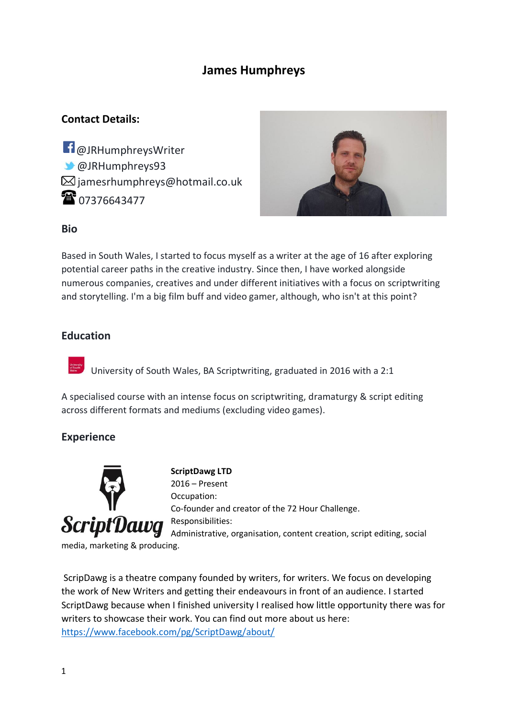### **James Humphreys**

### **Contact Details:**

**f** @JRHumphreysWriter @JRHumphreys93  $\boxtimes$  jamesrhumphreys@hotmail.co.uk 107376643477



### **Bio**

Based in South Wales, I started to focus myself as a writer at the age of 16 after exploring potential career paths in the creative industry. Since then, I have worked alongside numerous companies, creatives and under different initiatives with a focus on scriptwriting and storytelling. I'm a big film buff and video gamer, although, who isn't at this point?

### **Education**

University of South Wales, BA Scriptwriting, graduated in 2016 with a 2:1

A specialised course with an intense focus on scriptwriting, dramaturgy & script editing across different formats and mediums (excluding video games).

### **Experience**



**ScriptDawg LTD** 2016 – Present Occupation: Co-founder and creator of the 72 Hour Challenge. Responsibilities: Administrative, organisation, content creation, script editing, social

ScripDawg is a theatre company founded by writers, for writers. We focus on developing the work of New Writers and getting their endeavours in front of an audience. I started ScriptDawg because when I finished university I realised how little opportunity there was for writers to showcase their work. You can find out more about us here: <https://www.facebook.com/pg/ScriptDawg/about/>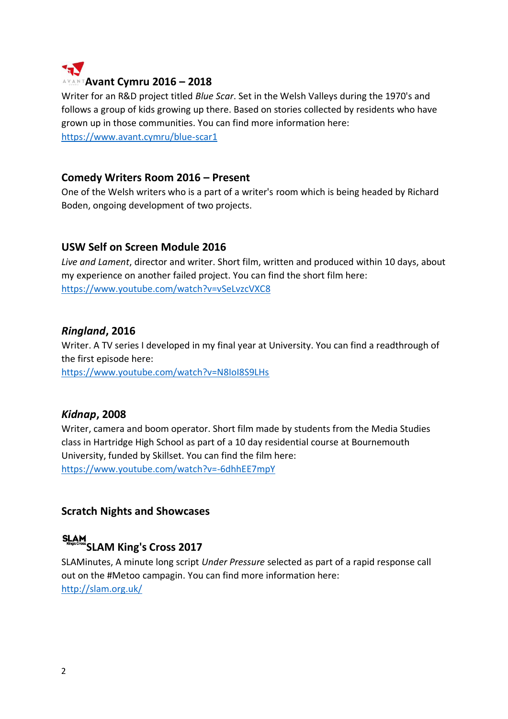

Writer for an R&D project titled *Blue Scar*. Set in the Welsh Valleys during the 1970's and follows a group of kids growing up there. Based on stories collected by residents who have grown up in those communities. You can find more information here: <https://www.avant.cymru/blue-scar1>

### **Comedy Writers Room 2016 – Present**

One of the Welsh writers who is a part of a writer's room which is being headed by Richard Boden, ongoing development of two projects.

### **USW Self on Screen Module 2016**

*Live and Lament*, director and writer. Short film, written and produced within 10 days, about my experience on another failed project. You can find the short film here: <https://www.youtube.com/watch?v=vSeLvzcVXC8>

### *Ringland***, 2016**

Writer. A TV series I developed in my final year at University. You can find a readthrough of the first episode here:

<https://www.youtube.com/watch?v=N8IoI8S9LHs>

### *Kidnap***, 2008**

Writer, camera and boom operator. Short film made by students from the Media Studies class in Hartridge High School as part of a 10 day residential course at Bournemouth University, funded by Skillset. You can find the film here: <https://www.youtube.com/watch?v=-6dhhEE7mpY>

### **Scratch Nights and Showcases**

## **SLAM King's Cross 2017**

SLAMinutes, A minute long script *Under Pressure* selected as part of a rapid response call out on the #Metoo campagin. You can find more information here: <http://slam.org.uk/>